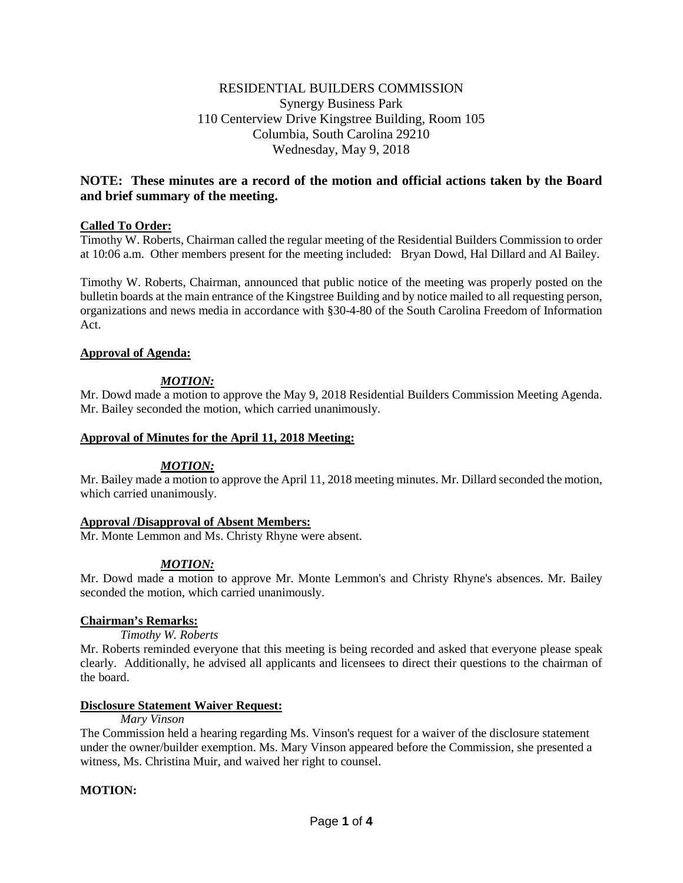# RESIDENTIAL BUILDERS COMMISSION Synergy Business Park 110 Centerview Drive Kingstree Building, Room 105 Columbia, South Carolina 29210 Wednesday, May 9, 2018

# **NOTE: These minutes are a record of the motion and official actions taken by the Board and brief summary of the meeting.**

# **Called To Order:**

Timothy W. Roberts, Chairman called the regular meeting of the Residential Builders Commission to order at 10:06 a.m. Other members present for the meeting included: Bryan Dowd, Hal Dillard and Al Bailey.

Timothy W. Roberts, Chairman, announced that public notice of the meeting was properly posted on the bulletin boards at the main entrance of the Kingstree Building and by notice mailed to all requesting person, organizations and news media in accordance with §30-4-80 of the South Carolina Freedom of Information Act.

# **Approval of Agenda:**

# *MOTION:*

Mr. Dowd made a motion to approve the May 9, 2018 Residential Builders Commission Meeting Agenda. Mr. Bailey seconded the motion, which carried unanimously.

#### **Approval of Minutes for the April 11, 2018 Meeting:**

## *MOTION:*

Mr. Bailey made a motion to approve the April 11, 2018 meeting minutes. Mr. Dillard seconded the motion, which carried unanimously.

## **Approval /Disapproval of Absent Members:**

Mr. Monte Lemmon and Ms. Christy Rhyne were absent.

# *MOTION:*

Mr. Dowd made a motion to approve Mr. Monte Lemmon's and Christy Rhyne's absences. Mr. Bailey seconded the motion, which carried unanimously.

## **Chairman's Remarks:**

*Timothy W. Roberts*

Mr. Roberts reminded everyone that this meeting is being recorded and asked that everyone please speak clearly. Additionally, he advised all applicants and licensees to direct their questions to the chairman of the board.

## **Disclosure Statement Waiver Request:**

#### *Mary Vinson*

The Commission held a hearing regarding Ms. Vinson's request for a waiver of the disclosure statement under the owner/builder exemption. Ms. Mary Vinson appeared before the Commission, she presented a witness, Ms. Christina Muir, and waived her right to counsel.

# **MOTION:**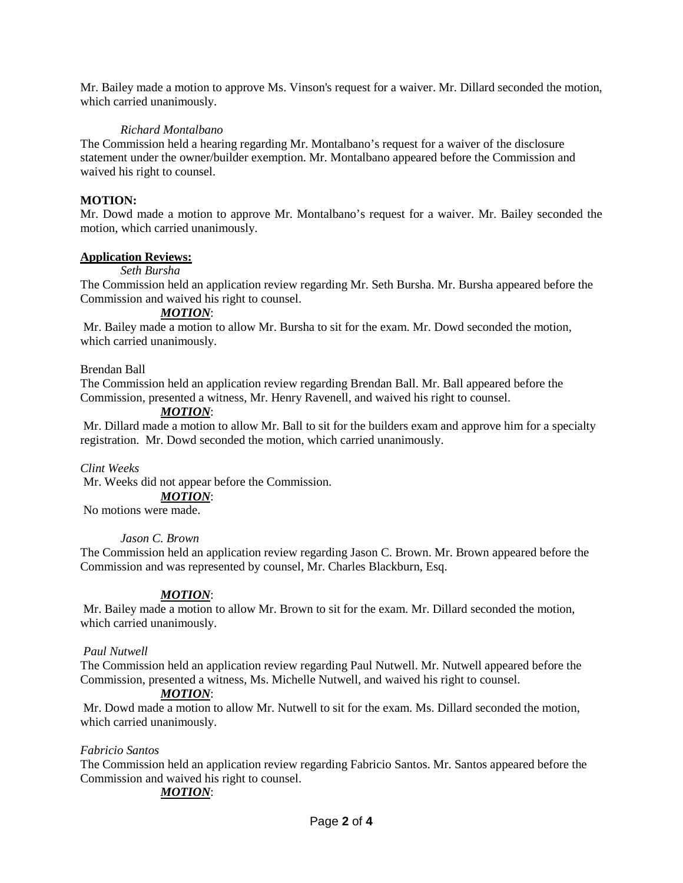Mr. Bailey made a motion to approve Ms. Vinson's request for a waiver. Mr. Dillard seconded the motion, which carried unanimously.

## *Richard Montalbano*

The Commission held a hearing regarding Mr. Montalbano's request for a waiver of the disclosure statement under the owner/builder exemption. Mr. Montalbano appeared before the Commission and waived his right to counsel.

## **MOTION:**

Mr. Dowd made a motion to approve Mr. Montalbano's request for a waiver. Mr. Bailey seconded the motion, which carried unanimously.

#### **Application Reviews:**

#### *Seth Bursha*

The Commission held an application review regarding Mr. Seth Bursha. Mr. Bursha appeared before the Commission and waived his right to counsel.

## *MOTION*:

Mr. Bailey made a motion to allow Mr. Bursha to sit for the exam. Mr. Dowd seconded the motion, which carried unanimously.

#### Brendan Ball

The Commission held an application review regarding Brendan Ball. Mr. Ball appeared before the Commission, presented a witness, Mr. Henry Ravenell, and waived his right to counsel.

#### *MOTION*:

Mr. Dillard made a motion to allow Mr. Ball to sit for the builders exam and approve him for a specialty registration. Mr. Dowd seconded the motion, which carried unanimously.

#### *Clint Weeks*

Mr. Weeks did not appear before the Commission.

# *MOTION*:

No motions were made.

#### *Jason C. Brown*

The Commission held an application review regarding Jason C. Brown. Mr. Brown appeared before the Commission and was represented by counsel, Mr. Charles Blackburn, Esq.

## *MOTION*:

Mr. Bailey made a motion to allow Mr. Brown to sit for the exam. Mr. Dillard seconded the motion, which carried unanimously.

#### *Paul Nutwell*

The Commission held an application review regarding Paul Nutwell. Mr. Nutwell appeared before the Commission, presented a witness, Ms. Michelle Nutwell, and waived his right to counsel.

#### *MOTION*:

Mr. Dowd made a motion to allow Mr. Nutwell to sit for the exam. Ms. Dillard seconded the motion, which carried unanimously.

## *Fabricio Santos*

The Commission held an application review regarding Fabricio Santos. Mr. Santos appeared before the Commission and waived his right to counsel.

## *MOTION*: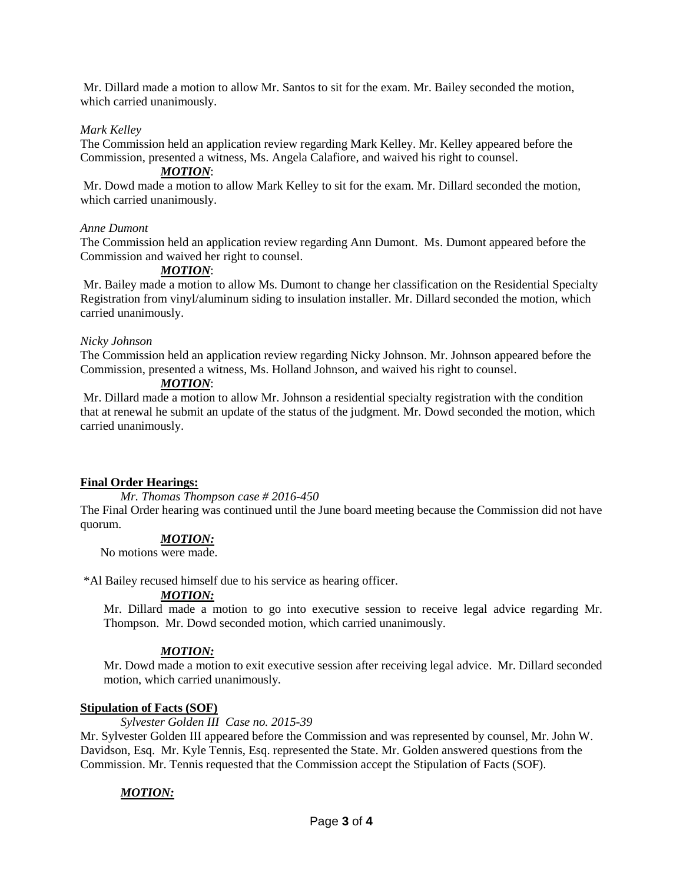Mr. Dillard made a motion to allow Mr. Santos to sit for the exam. Mr. Bailey seconded the motion, which carried unanimously.

# *Mark Kelley*

The Commission held an application review regarding Mark Kelley. Mr. Kelley appeared before the Commission, presented a witness, Ms. Angela Calafiore, and waived his right to counsel.

## *MOTION*:

Mr. Dowd made a motion to allow Mark Kelley to sit for the exam. Mr. Dillard seconded the motion, which carried unanimously.

## *Anne Dumont*

The Commission held an application review regarding Ann Dumont. Ms. Dumont appeared before the Commission and waived her right to counsel.

## *MOTION*:

Mr. Bailey made a motion to allow Ms. Dumont to change her classification on the Residential Specialty Registration from vinyl/aluminum siding to insulation installer. Mr. Dillard seconded the motion, which carried unanimously.

## *Nicky Johnson*

The Commission held an application review regarding Nicky Johnson. Mr. Johnson appeared before the Commission, presented a witness, Ms. Holland Johnson, and waived his right to counsel.

## *MOTION*:

Mr. Dillard made a motion to allow Mr. Johnson a residential specialty registration with the condition that at renewal he submit an update of the status of the judgment. Mr. Dowd seconded the motion, which carried unanimously.

## **Final Order Hearings:**

*Mr. Thomas Thompson case # 2016-450*

The Final Order hearing was continued until the June board meeting because the Commission did not have quorum.

## *MOTION:*

No motions were made.

\*Al Bailey recused himself due to his service as hearing officer.

# *MOTION:*

Mr. Dillard made a motion to go into executive session to receive legal advice regarding Mr. Thompson. Mr. Dowd seconded motion, which carried unanimously.

# *MOTION:*

Mr. Dowd made a motion to exit executive session after receiving legal advice. Mr. Dillard seconded motion, which carried unanimously*.*

## **Stipulation of Facts (SOF)**

*Sylvester Golden III Case no. 2015-39*

Mr. Sylvester Golden III appeared before the Commission and was represented by counsel, Mr. John W. Davidson, Esq. Mr. Kyle Tennis, Esq. represented the State. Mr. Golden answered questions from the Commission. Mr. Tennis requested that the Commission accept the Stipulation of Facts (SOF).

# *MOTION:*